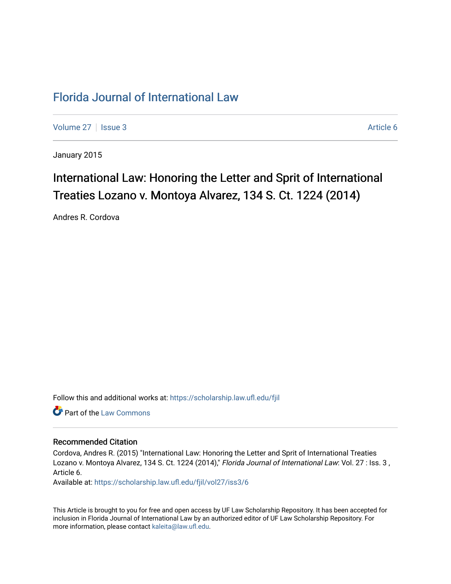## [Florida Journal of International Law](https://scholarship.law.ufl.edu/fjil)

[Volume 27](https://scholarship.law.ufl.edu/fjil/vol27) | [Issue 3](https://scholarship.law.ufl.edu/fjil/vol27/iss3) Article 6

January 2015

# International Law: Honoring the Letter and Sprit of International Treaties Lozano v. Montoya Alvarez, 134 S. Ct. 1224 (2014)

Andres R. Cordova

Follow this and additional works at: [https://scholarship.law.ufl.edu/fjil](https://scholarship.law.ufl.edu/fjil?utm_source=scholarship.law.ufl.edu%2Ffjil%2Fvol27%2Fiss3%2F6&utm_medium=PDF&utm_campaign=PDFCoverPages) 

**Part of the [Law Commons](http://network.bepress.com/hgg/discipline/578?utm_source=scholarship.law.ufl.edu%2Ffjil%2Fvol27%2Fiss3%2F6&utm_medium=PDF&utm_campaign=PDFCoverPages)** 

### Recommended Citation

Cordova, Andres R. (2015) "International Law: Honoring the Letter and Sprit of International Treaties Lozano v. Montoya Alvarez, 134 S. Ct. 1224 (2014)," Florida Journal of International Law: Vol. 27 : Iss. 3, Article 6.

Available at: [https://scholarship.law.ufl.edu/fjil/vol27/iss3/6](https://scholarship.law.ufl.edu/fjil/vol27/iss3/6?utm_source=scholarship.law.ufl.edu%2Ffjil%2Fvol27%2Fiss3%2F6&utm_medium=PDF&utm_campaign=PDFCoverPages) 

This Article is brought to you for free and open access by UF Law Scholarship Repository. It has been accepted for inclusion in Florida Journal of International Law by an authorized editor of UF Law Scholarship Repository. For more information, please contact [kaleita@law.ufl.edu.](mailto:kaleita@law.ufl.edu)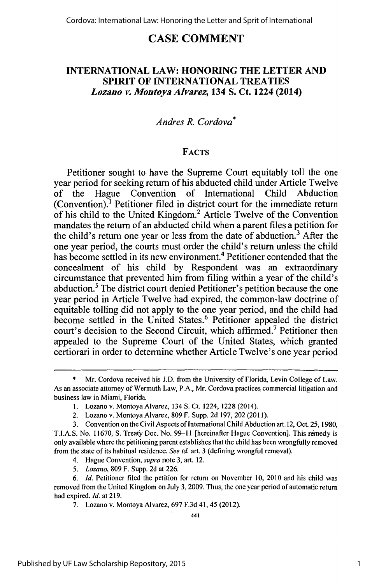## **CASE COMMENT**

## **INTERNATIONAL LAW: HONORING THE** LETTER **AND SPIRIT OF INTERNATIONAL TREATIES** *Lozano v Montoya Alvarez;* **134 S. Ct. 1224 (2014)**

## *Andres R. Cordova\**

#### **FACTS**

Petitioner sought to have the Supreme Court equitably toll the one year period for seeking return of his abducted child under Article Twelve of the Hague Convention of International Child Abduction (Convention).' Petitioner filed in district court for the immediate return of his child to the United Kingdom.<sup>2</sup> Article Twelve of the Convention mandates the return of an abducted child when a parent files a petition for the child's return one year or less from the date of abduction.<sup>3</sup> After the one year period, the courts must order the child's return unless the child has become settled in its new environment.<sup>4</sup> Petitioner contended that the concealment of his child **by** Respondent was an extraordinary circumstance that prevented him from filing within a year of the child's abduction.<sup>5</sup> The district court denied Petitioner's petition because the one year period in Article Twelve had expired, the common-law doctrine of equitable tolling did not apply to the one year period, and the child had become settled in the United States.<sup>6</sup> Petitioner appealed the district court's decision to the Second Circuit, which affirmed.7 Petitioner then appealed to the Supreme Court of the United States, which granted certiorari in order to determine whether Article Twelve's one year period

7. Lozano v. Montoya Alvarez, 697 F.3d 41, 45 (2012).

<sup>\*</sup> Mr. Cordova received his J.D. from the University of Florida, Levin College of Law. As an associate attorney of Wermuth Law, P.A., Mr. Cordova practices commercial litigation and business law in Miami, Florida.

<sup>1.</sup> Lozano v. Montoya Alvarez, 134 S. Ct. 1224, 1228 (2014).

<sup>2.</sup> Lozano v. Montoya Alvarez, 809 F. Supp. 2d 197, 202 (2011).

<sup>3.</sup> Convention on the Civil Aspects of International Child Abduction art. 12, Oct. 25, 1980, T.I.A.S. No. 11670, S. Treaty Doc. No. 99-11 [hereinafter Hague Convention]. This remedy is only available where the petitioning parent establishes that the child has been wrongfully removed

from the state of its habitual residence. *See id.* art. 3 (defining wrongful removal).

<sup>4.</sup> Hague Convention, *supro* note 3, art. 12.

*<sup>5.</sup> Lozano,* 809 F. Supp. 2d at 226.

<sup>6.</sup> *Id.* Petitioner filed the petition for return on November **10,** 2010 and his child was removed from the United Kingdom on July 3, 2009. Thus, the one year period of automatic return had expired. *Id.* at 219.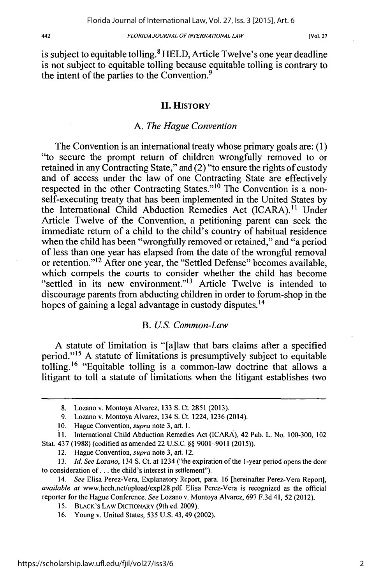[Vol. **27**

is subject to equitable tolling.<sup>8</sup> HELD, Article Twelve's one year deadline is not subject to equitable tolling because equitable tolling is contrary to the intent of the parties to the Convention.<sup>9</sup>

#### **II. HISTORY**

#### *A. The Hague Convention*

The Convention is an international treaty whose primary goals are: (1) "to secure the prompt return of children wrongfully removed to or retained in any Contracting State," and (2) "to ensure the rights of custody and of access under the law of one Contracting State are effectively respected in the other Contracting States."<sup>10</sup> The Convention is a nonself-executing treaty that has been implemented in the United States by the International Child Abduction Remedies Act (ICARA).<sup>11</sup> Under Article Twelve of the Convention, a petitioning parent can seek the immediate return of a child to the child's country of habitual residence when the child has been "wrongfully removed or retained," and "a period of less than one year has elapsed from the date of the wrongful removal or retention."<sup>12</sup> After one year, the "Settled Defense" becomes available, which compels the courts to consider whether the child has become "settled in its new environment."<sup>13</sup> Article Twelve is intended to discourage parents from abducting children in order to forum-shop in the hopes of gaining a legal advantage in custody disputes.<sup>14</sup>

#### B. *US. Common-Law*

A statute of limitation is "[a]law that bars claims after a specified period."<sup>15</sup> A statute of limitations is presumptively subject to equitable tolling. <sup>1</sup>6 "Equitable tolling is a common-law doctrine that allows a litigant to toll a statute of limitations when the litigant establishes two

<sup>8.</sup> Lozano v. Montoya Alvarez, 133 S. Ct. 2851 (2013).

<sup>9.</sup> Lozano v. Montoya Alvarez, 134 **S.** Ct. 1224, 1236 (2014).

<sup>10.</sup> Hague Convention, *supra* note 3, art. **1.**

<sup>11.</sup> International Child Abduction Remedies Act (ICARA), 42 Pub. L. No. 100-300, 102 Stat. 437 (1988) (codified as amended 22 U.S.C. §§ 9001-9011 (2015)).

<sup>12.</sup> Hague Convention, *supra* note 3, art. 12.

*<sup>13.</sup> Id. See Lozano,* 134 **S.** Ct. at 1234 ("the expiration of the 1-year period opens the door to consideration of... the child's interest in settlement").

<sup>14.</sup> *See* Elisa Perez-Vera, Explanatory Report, para. 16 [hereinafter Perez-Vera Report], *available at* www.hcch.net/upload/expl28.pdf. Elisa Perez-Vera is recognized as the official reporter for the Hague Conference. *See* Lozano v. Montoya Alvarez, 697 F.3d 41, 52 (2012).

<sup>15.</sup> BLACK'S LAW DICTIONARY (9th ed. 2009).

<sup>16.</sup> Young v. United States, 535 U.S. 43,49 (2002).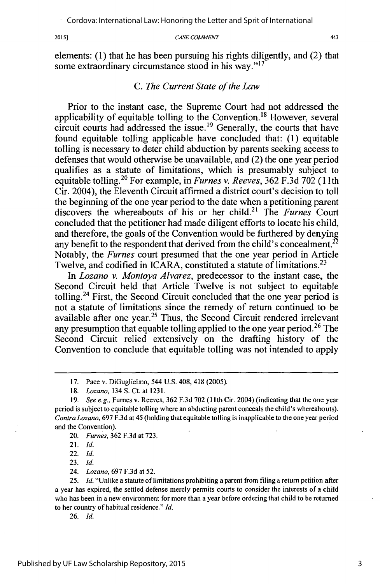#### 2015]

#### *CASE COMMENT*

elements: (1) that he has been pursuing his rights diligently, and (2) that some extraordinary circumstance stood in his way."<sup>17</sup>

#### *C. The Current State of the Law*

Prior to the instant case, the Supreme Court had not addressed the applicability of equitable tolling to the Convention.<sup>18</sup> However, several circuit courts had addressed the issue.<sup>19</sup> Generally, the courts that have found equitable tolling applicable have concluded that:  $(1)$  equitable tolling is necessary to deter child abduction by parents seeking access to defenses that would otherwise be unavailable, and (2) the one year period qualifies as a statute of limitations, which is presumably subject to equitable tolling.<sup>20</sup> For example, in *Furnes v. Reeves*, 362 F.3d 702 (11th Cir. 2004), the Eleventh Circuit affirmed a district court's decision to toll the beginning of the one year period to the date when a petitioning parent discovers the whereabouts of his or her child.<sup>21</sup> The *Furnes* Court concluded that the petitioner had made diligent efforts to locate his child, and therefore, the goals of the Convention would be furthered by denying any benefit to the respondent that derived from the child's concealment.<sup>22</sup> Notably, the *Furnes* court presumed that the one year period in Article Twelve, and codified in ICARA, constituted a statute of limitations.<sup>23</sup>

In *Lozano v. Montoya Alvarez,* predecessor to the instant case, the Second Circuit held that Article Twelve is not subject to equitable tolling.24 First, the Second Circuit concluded that the one year period is not a statute of limitations since the remedy of return continued to be available after one year.<sup>25</sup> Thus, the Second Circuit rendered irrelevant any presumption that equable tolling applied to the one year period.<sup>26</sup> The Second Circuit relied extensively on the drafting history of the Convention to conclude that equitable tolling was not intended to apply

23. *Id.*

24. *Lozano,* 697 F.3d at 52.

25. *Id.* "Unlike a statute of limitations prohibiting a parent from filing a return petition after a year has expired, the settled defense merely permits courts to consider the interests of a child who has been in a new environment for more than a year before ordering that child to be returned to her country of habitual residence." *Id.*

26. *Id.*

443

<sup>17.</sup> Pace v. DiGuglielmo, 544 U.S. 408, 418 (2005).

<sup>18.</sup> *Lozano,* 134 S. Ct. at 1231.

<sup>19.</sup> *See e.g.,* Fumes v. Reeves, 362 F.3d 702 (1 1th Cir. 2004) (indicating that the one year period is subject to equitable tolling where an abducting parent conceals the child's whereabouts). *Contra Lozano,* 697 F.3d at 45 (holding that equitable tolling is inapplicable to the one year period and the Convention).

<sup>20.</sup> *Fumes,* 362 F.3d at 723.

<sup>21.</sup> *Id.*

<sup>22.</sup> *Id.*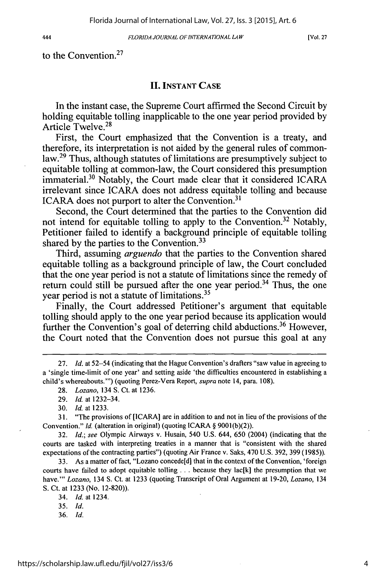444

FLORIDA JOURNAL *OF INTERNATIONAL LAW*

[Vol. **27**

to the Convention.<sup>27</sup>

## **II. INSTANT CASE**

In the instant case, the Supreme Court affirmed the Second Circuit by holding equitable tolling inapplicable to the one year period provided by Article Twelve. <sup>28</sup>

First, the Court emphasized that the Convention is a treaty, and therefore, its interpretation is not aided by the general rules of commonlaw.<sup>29</sup> Thus, although statutes of limitations are presumptively subject to equitable tolling at common-law, the Court considered this presumption immaterial.<sup>30</sup> Notably, the Court made clear that it considered ICARA irrelevant since ICARA does not address equitable tolling and because ICARA does not purport to alter the Convention.<sup>31</sup>

Second, the Court determined that the parties to the Convention did not intend for equitable tolling to apply to the Convention.<sup>32</sup> Notably, Petitioner failed to identify a background principle of equitable tolling shared by the parties to the Convention.<sup>33</sup>

Third, assuming *arguendo* that the parties to the Convention shared equitable tolling as a background principle of law, the Court concluded that the one year period is not a statute of limitations since the remedy of return could still be pursued after the one year period.<sup>34</sup> Thus, the one year period is not a statute of limitations. <sup>35</sup>

Finally, the Court addressed Petitioner's argument that equitable tolling should apply to the one year period because its application would further the Convention's goal of deterring child abductions.<sup>36</sup> However, the Court noted that the Convention does not pursue this goal at any

32. *Id.;* see Olympic Airways v. Husain, 540 U.S. 644, 650 (2004) (indicating that the courts are tasked with interpreting treaties in a manner that is "consistent with the shared expectations of the contracting parties") (quoting Air France v. Saks, 470 U.S. 392, 399 (1985)).

33. As a matter of fact, "Lozano concede[d] that in the context of the Convention, 'foreign courts have failed to adopt equitable tolling **...** because they lac[k] the presumption that we have."' *Lozano,* 134 **S.** Ct. at 1233 (quoting Transcript of Oral Argument at 19-20, *Lozano,* 134 S. Ct. at 1233 (No. 12-820)).

34. *Id.* at 1234.

35. *Id.*

<sup>27.</sup> *Id.* at 52–54 (indicating that the Hague Convention's drafters "saw value in agreeing to a 'single time-limit of one year' and setting aside 'the difficulties encountered in establishing a child's whereabouts."') (quoting Perez-Vera Report, *supra* note 14, para. 108).

<sup>28.</sup> *Lozano,* 134 S. Ct. at 1236.

<sup>29.</sup> *Id.* at 1232-34.

<sup>30.</sup> *Id.* at 1233.

**<sup>3 1.</sup>** "The provisions of [ICARA] are in addition to and not in lieu of the provisions of the Convention." *Id.* (alteration in original) (quoting ICARA § 9001(b)(2)).

<sup>36.</sup> *Id.*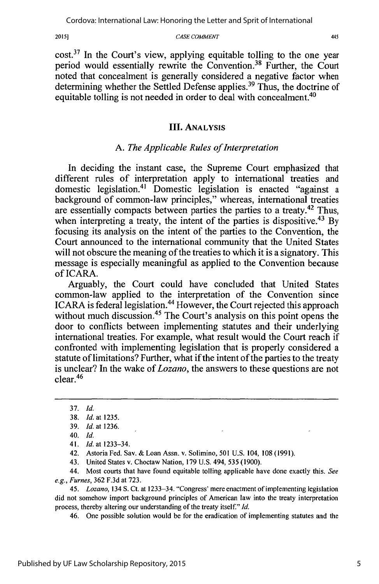2015]

#### *CASE COMMENT*

 $cost<sup>37</sup>$  In the Court's view, applying equitable tolling to the one year period would essentially rewrite the Convention.<sup>38</sup> Further, the Court noted that concealment is generally considered a negative factor when determining whether the Settled Defense applies.<sup>39</sup> Thus, the doctrine of equitable tolling is not needed in order to deal with concealment.<sup>40</sup>

#### **III. ANALYSIS**

#### *A. The Applicable Rules of Interpretation*

In deciding the instant case, the Supreme Court emphasized that different rules of interpretation apply to international treaties and domestic legislation.<sup>41</sup> Domestic legislation is enacted "against a background of common-law principles," whereas, international treaties are essentially compacts between parties the parties to a treaty.  $42$  Thus, when interpreting a treaty, the intent of the parties is dispositive.<sup>43</sup> By focusing its analysis on the intent of the parties to the Convention, the Court announced to the international community that the United States will not obscure the meaning of the treaties to which it is a signatory. This message is especially meaningful as applied to the Convention because of ICARA.

Arguably, the Court could have concluded that United States common-law applied to the interpretation of the Convention since ICARA is federal legislation.<sup>44</sup> However, the Court rejected this approach without much discussion.<sup>45</sup> The Court's analysis on this point opens the door to conflicts between implementing statutes and their underlying international treaties. For example, what result would the Court reach if confronted with implementing legislation that is properly considered a statute of limitations? Further, what if the intent of the parties to the treaty is unclear? In the wake of *Lozano,* the answers to these questions are not clear. <sup>46</sup>

42. Astoria Fed. Say. & Loan Assn. v. Solimino, 501 U.S. 104, 108 (1991).

43. United States v. Choctaw Nation, 179 U.S. 494, 535 (1900).

44. Most courts that have found equitable tolling applicable have done exactly this. See e.g., *Fumes,* 362 F.3d at 723.

45. *Lozano,* 134 S. Ct. at 1233-34. "Congress' mere enactment of implementing legislation did not somehow import background principles of American law into the treaty interpretation process, thereby altering our understanding of the treaty itself." **Id.**

46. One possible solution would be for the eradication of implementing statutes and the

<sup>37.</sup> Id.

<sup>38.</sup> *Id.* at 1235.

<sup>39.</sup> *Id.* at 1236.

<sup>40.</sup> Id.

<sup>41.</sup> *Id.* at 1233-34.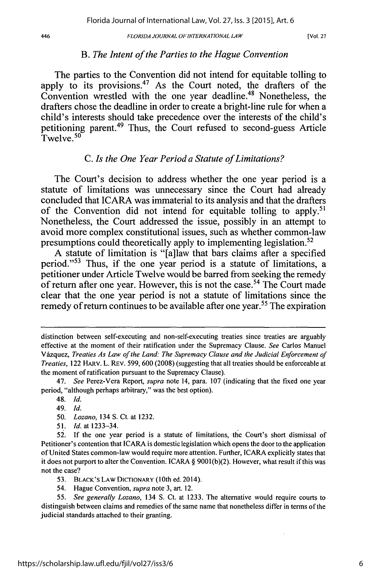#### 446

#### *FLORIDA JOURNAL OF INTERNATIONAL LA W*

[Vol. **27**

#### *B. The Intent of the Parties to the Hague Convention*

The parties to the Convention did not intend for equitable tolling to apply to its provisions.<sup>47</sup> As the Court noted, the drafters of the Convention wrestled with the one year deadline.<sup>48</sup> Nonetheless, the drafters chose the deadline in order to create a bright-line rule for when a child's interests should take precedence over the interests of the child's petitioning parent.<sup>49</sup> Thus, the Court refused to second-guess Article  $T$ welve.  $50$ 

## *C. Is the One Year Period a Statute of Limitations?*

The Court's decision to address whether the one year period is a statute of limitations was unnecessary since the Court had already concluded that ICARA was immaterial to its analysis and that the drafters of the Convention did not intend for equitable tolling to apply.<sup>51</sup> Nonetheless, the Court addressed the issue, possibly in an attempt to avoid more complex constitutional issues, such as whether common-law presumptions could theoretically apply to implementing legislation. <sup>52</sup>

A statute of limitation is "[a]law that bars claims after a specified period."<sup>53</sup> Thus, if the one year period is a statute of limitations, a petitioner under Article Twelve would be barred from seeking the remedy of return after one year. However, this is not the case.<sup>54</sup> The Court made clear that the one year period is not a statute of limitations since the remedy of return continues to be available after one year.<sup>55</sup> The expiration

51. *Id.* at 1233-34.

distinction between self-executing and non-self-executing treaties since treaties are arguably effective at the moment of their ratification under the Supremacy Clause. *See* Carlos Manuel Vdzquez, *Treaties As Law of the Land: The Supremacy Clause and the Judicial Enforcement of Treaties,* 122 HARv. L. REV. 599, 600 (2008) (suggesting that all treaties should be enforceable at the moment of ratification pursuant to the Supremacy Clause).

<sup>47.</sup> *See* Perez-Vera Report, *supra* note 14, para. 107 (indicating that the fixed one year period, "although perhaps arbitrary," was the best option).

<sup>48.</sup> *Id.*

<sup>49.</sup> *Id.*

<sup>50.</sup> *Lozano,* 134 S. Ct. at 1232.

<sup>52.</sup> If the one year period is a statute of limitations, the Court's short dismissal of Petitioner's contention that ICARA is domestic legislation which opens the door to the application of United States common-law would require more attention. Further, ICARA explicitly states that it does not purport to alter the Convention. ICARA § 9001 (b)(2). However, what result if this was not the case?

<sup>53.</sup> BLACK'S LAW DICTIONARY (10th ed. 2014).

<sup>54.</sup> Hague Convention, *supra* note 3, art. 12.

<sup>55.</sup> *See generally Lozano,* 134 **S.** Ct. at 1233. The alternative would require courts to distinguish between claims and remedies of the same name that nonetheless differ in terms of the judicial standards attached to their granting.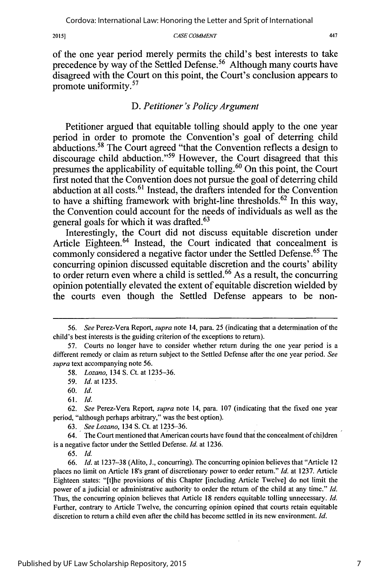$2015]$ 

#### *CASE COMMENT*

of the one year period merely permits the child's best interests to take precedence by way of the Settled Defense.<sup>56</sup> Although many courts have disagreed with the Court on this point, the Court's conclusion appears to promote uniformity.<sup>57</sup>

## *D. Petitioner 's Policy Argument*

Petitioner argued that equitable tolling should apply to the one year period in order to promote the Convention's goal of deterring child  $a$ bductions.<sup>58</sup> The Court agreed "that the Convention reflects a design to discourage child abduction."<sup>59</sup> However, the Court disagreed that this presumes the applicability of equitable tolling.<sup>60</sup> On this point, the Court first noted that the Convention does not pursue the goal of deterring child abduction at all costs.<sup>61</sup> Instead, the drafters intended for the Convention to have a shifting framework with bright-line thresholds.<sup>62</sup> In this way, the Convention could account for the needs of individuals as well as the general goals for which it was drafted.<sup>63</sup>

Interestingly, the Court did not discuss equitable discretion under Article Eighteen.<sup>64</sup> Instead, the Court indicated that concealment is commonly considered a negative factor under the Settled Defense.<sup>65</sup> The concurring opinion discussed equitable discretion and the courts' ability to order return even where a child is settled.<sup>66</sup> As a result, the concurring opinion potentially elevated the extent of equitable discretion wielded **by** the courts even though the Settled Defense appears to be non-

62. *See* Perez-Vera Report, *supra* note 14, para. 107 (indicating that the fixed one year period, "although perhaps arbitrary," was the best option).

64. The Court mentioned that American courts have found that the concealment of children is a negative factor under the Settled Defense. *Id.* at 1236.

65. *Id.*

66. *Id.* at 1237-38 (Alito, J., concurring). The concurring opinion believes that "Article 12 places no limit on Article 18's grant of discretionary power to order return." *Id.* at 1237. Article Eighteen states: "[tihe provisions of this Chapter [including Article Twelve] do not limit the power of a judicial or administrative authority to order the return of the child at any time." *Id.* Thus, the concurring opinion believes that Article 18 renders equitable tolling unnecessary. *Id.* Further, contrary to Article Twelve, the concurring opinion opined that courts retain equitable discretion to return a child even after the child has become settled in its new environment. *Id.*

*<sup>56.</sup> See* Perez-Vera Report, *supra* note 14, para. 25 (indicating that a determination of the child's best interests is the guiding criterion of the exceptions to return).

<sup>57.</sup> Courts no longer have to consider whether return during the one year period is a different remedy or claim as return subject to the Settled Defense after the one year period. *See supra* text accompanying note 56.

<sup>58.</sup> *Lozano,* 134 **S.** Ct. at 1235-36.

<sup>59.</sup> *Id.* at 1235.

<sup>60.</sup> *Id.*

<sup>61.</sup> *Id.*

<sup>63.</sup> *See Lozano,* 134 **S.** Ct. at 1235-36.